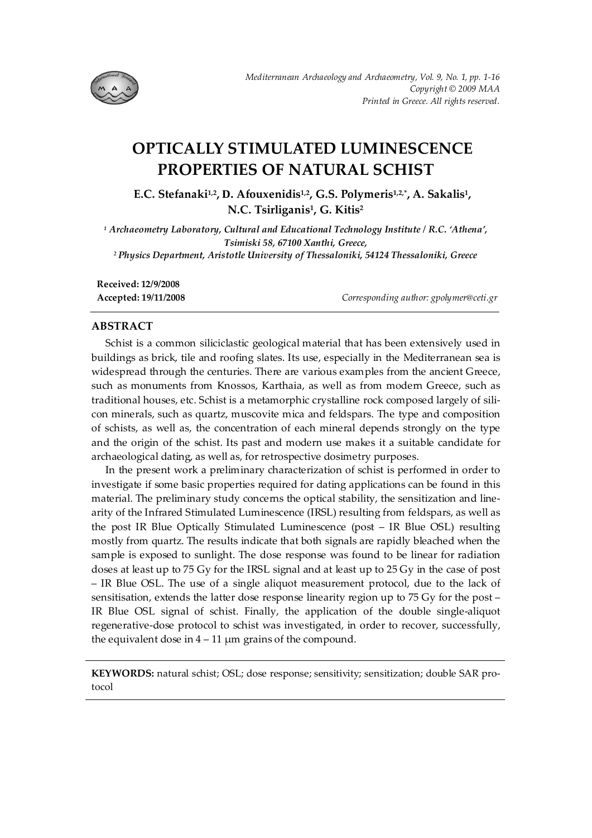

# **OPTICALLY STIMULATED LUMINESCENCE PROPERTIES OF NATURAL SCHIST**

**E.C. Stefanaki1,2, D. Afouxenidis1,2, G.S. Polymeris1,2,\*, A. Sakalis1, N.C. Tsirliganis1, G. Kitis2** 

*1 Archaeometry Laboratory, Cultural and Educational Technology Institute / R.C. 'Athena', Tsimiski 58, 67100 Xanthi, Greece, 2 Physics Department, Aristotle University of Thessaloniki, 54124 Thessaloniki, Greece* 

**Received: 12/9/2008 Accepted: 19/11/2008** *Corresponding author: gpolymer@ceti.gr* 

# **ABSTRACT**

Schist is a common siliciclastic geological material that has been extensively used in buildings as brick, tile and roofing slates. Its use, especially in the Mediterranean sea is widespread through the centuries. There are various examples from the ancient Greece, such as monuments from Knossos, Karthaia, as well as from modern Greece, such as traditional houses, etc. Schist is a metamorphic crystalline rock composed largely of silicon minerals, such as quartz, muscovite mica and feldspars. The type and composition of schists, as well as, the concentration of each mineral depends strongly on the type and the origin of the schist. Its past and modern use makes it a suitable candidate for archaeological dating, as well as, for retrospective dosimetry purposes.

In the present work a preliminary characterization of schist is performed in order to investigate if some basic properties required for dating applications can be found in this material. The preliminary study concerns the optical stability, the sensitization and linearity of the Infrared Stimulated Luminescence (IRSL) resulting from feldspars, as well as the post IR Blue Optically Stimulated Luminescence (post – IR Blue OSL) resulting mostly from quartz. The results indicate that both signals are rapidly bleached when the sample is exposed to sunlight. The dose response was found to be linear for radiation doses at least up to 75 Gy for the IRSL signal and at least up to 25 Gy in the case of post – IR Blue OSL. The use of a single aliquot measurement protocol, due to the lack of sensitisation, extends the latter dose response linearity region up to 75 Gy for the post – IR Blue OSL signal of schist. Finally, the application of the double single-aliquot regenerative-dose protocol to schist was investigated, in order to recover, successfully, the equivalent dose in  $4 - 11$  µm grains of the compound.

**KEYWORDS:** natural schist; OSL; dose response; sensitivity; sensitization; double SAR protocol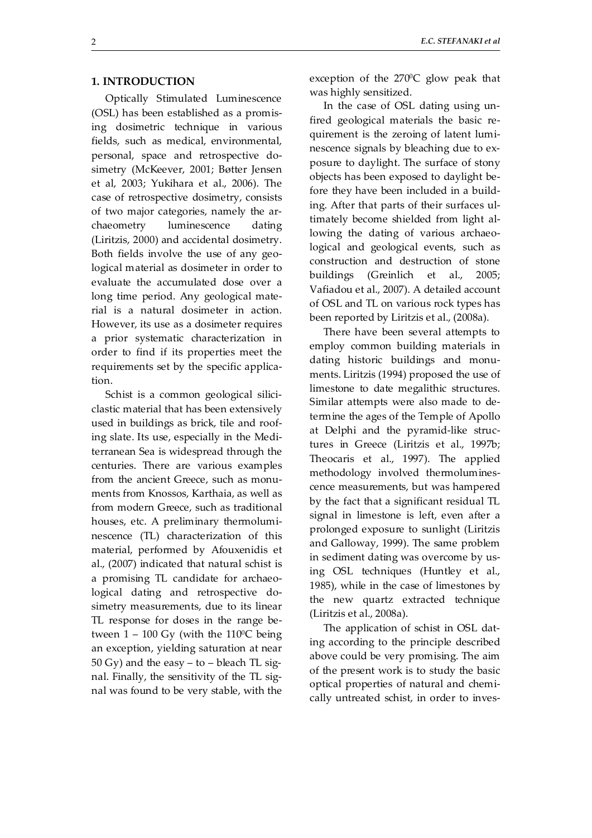# **1. INTRODUCTION**

Optically Stimulated Luminescence (OSL) has been established as a promising dosimetric technique in various fields, such as medical, environmental, personal, space and retrospective dosimetry (McKeever, 2001; Bøtter Jensen et al, 2003; Yukihara et al., 2006). The case of retrospective dosimetry, consists of two major categories, namely the archaeometry luminescence dating (Liritzis, 2000) and accidental dosimetry. Both fields involve the use of any geological material as dosimeter in order to evaluate the accumulated dose over a long time period. Any geological material is a natural dosimeter in action. However, its use as a dosimeter requires a prior systematic characterization in order to find if its properties meet the requirements set by the specific application.

Schist is a common geological siliciclastic material that has been extensively used in buildings as brick, tile and roofing slate. Its use, especially in the Mediterranean Sea is widespread through the centuries. There are various examples from the ancient Greece, such as monuments from Knossos, Karthaia, as well as from modern Greece, such as traditional houses, etc. A preliminary thermoluminescence (TL) characterization of this material, performed by Afouxenidis et al., (2007) indicated that natural schist is a promising TL candidate for archaeological dating and retrospective dosimetry measurements, due to its linear TL response for doses in the range between  $1 - 100$  Gy (with the 110<sup>o</sup>C being an exception, yielding saturation at near  $50 \text{ Gy}$ ) and the easy – to – bleach TL signal. Finally, the sensitivity of the TL signal was found to be very stable, with the exception of the  $270^{\circ}$ C glow peak that was highly sensitized.

In the case of OSL dating using unfired geological materials the basic requirement is the zeroing of latent luminescence signals by bleaching due to exposure to daylight. The surface of stony objects has been exposed to daylight before they have been included in a building. After that parts of their surfaces ultimately become shielded from light allowing the dating of various archaeological and geological events, such as construction and destruction of stone buildings (Greinlich et al., 2005; Vafiadou et al., 2007). A detailed account of OSL and TL on various rock types has been reported by Liritzis et al., (2008a).

There have been several attempts to employ common building materials in dating historic buildings and monuments. Liritzis (1994) proposed the use of limestone to date megalithic structures. Similar attempts were also made to determine the ages of the Temple of Apollo at Delphi and the pyramid-like structures in Greece (Liritzis et al., 1997b; Theocaris et al., 1997). The applied methodology involved thermoluminescence measurements, but was hampered by the fact that a significant residual TL signal in limestone is left, even after a prolonged exposure to sunlight (Liritzis and Galloway, 1999). The same problem in sediment dating was overcome by using OSL techniques (Huntley et al., 1985), while in the case of limestones by the new quartz extracted technique (Liritzis et al., 2008a).

The application of schist in OSL dating according to the principle described above could be very promising. The aim of the present work is to study the basic optical properties of natural and chemically untreated schist, in order to inves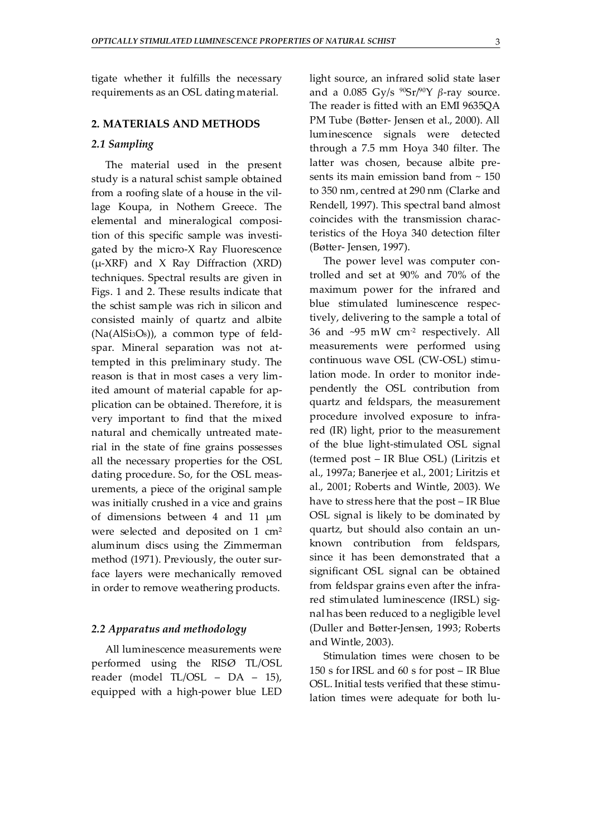tigate whether it fulfills the necessary requirements as an OSL dating material.

## **2. MATERIALS AND METHODS**

## *2.1 Sampling*

The material used in the present study is a natural schist sample obtained from a roofing slate of a house in the village Koupa, in Nothern Greece. The elemental and mineralogical composition of this specific sample was investigated by the micro-X Ray Fluorescence  $(\mu$ -XRF) and X Ray Diffraction (XRD) techniques. Spectral results are given in Figs. 1 and 2. These results indicate that the schist sample was rich in silicon and consisted mainly of quartz and albite  $(Na(AlSi3O8))$ , a common type of feldspar. Mineral separation was not attempted in this preliminary study. The reason is that in most cases a very limited amount of material capable for application can be obtained. Therefore, it is very important to find that the mixed natural and chemically untreated material in the state of fine grains possesses all the necessary properties for the OSL dating procedure. So, for the OSL measurements, a piece of the original sample was initially crushed in a vice and grains of dimensions between 4 and 11 μm were selected and deposited on 1 cm2 aluminum discs using the Zimmerman method (1971). Previously, the outer surface layers were mechanically removed in order to remove weathering products.

# *2.2 Apparatus and methodology*

All luminescence measurements were performed using the RISØ TL/OSL reader (model TL/OSL – DA – 15), equipped with a high-power blue LED light source, an infrared solid state laser and a 0.085 Gy/s <sup>90</sup>Sr/<sup>90</sup>Y β-ray source. The reader is fitted with an EMI 9635QA PM Tube (Bøtter- Jensen et al., 2000). All luminescence signals were detected through a 7.5 mm Hoya 340 filter. The latter was chosen, because albite presents its main emission band from  $\sim 150$ to 350 nm, centred at 290 nm (Clarke and Rendell, 1997). This spectral band almost coincides with the transmission characteristics of the Hoya 340 detection filter (Bøtter- Jensen, 1997).

The power level was computer controlled and set at 90% and 70% of the maximum power for the infrared and blue stimulated luminescence respectively, delivering to the sample a total of 36 and  $\sim$ 95 mW cm<sup>-2</sup> respectively. All measurements were performed using continuous wave OSL (CW-OSL) stimulation mode. In order to monitor independently the OSL contribution from quartz and feldspars, the measurement procedure involved exposure to infrared (IR) light, prior to the measurement of the blue light-stimulated OSL signal (termed post – IR Blue OSL) (Liritzis et al., 1997a; Banerjee et al., 2001; Liritzis et al., 2001; Roberts and Wintle, 2003). We have to stress here that the post – IR Blue OSL signal is likely to be dominated by quartz, but should also contain an unknown contribution from feldspars, since it has been demonstrated that a significant OSL signal can be obtained from feldspar grains even after the infrared stimulated luminescence (IRSL) signal has been reduced to a negligible level (Duller and Bøtter-Jensen, 1993; Roberts and Wintle, 2003).

Stimulation times were chosen to be 150 s for IRSL and 60 s for post – IR Blue OSL. Initial tests verified that these stimulation times were adequate for both lu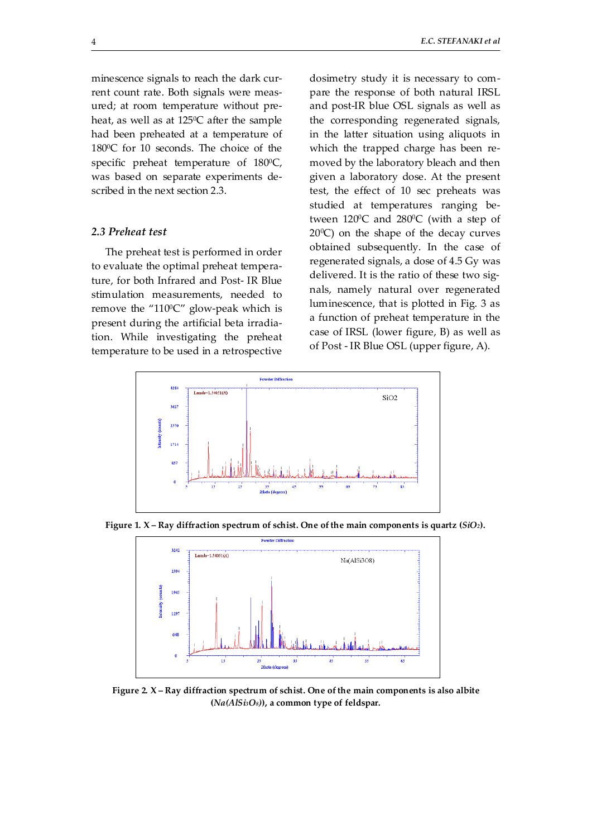minescence signals to reach the dark current count rate. Both signals were measured; at room temperature without preheat, as well as at 125°C after the sample had been preheated at a temperature of 180<sup>o</sup>C for 10 seconds. The choice of the specific preheat temperature of  $180^{\circ}$ C, was based on separate experiments described in the next section 2.3.

# *2.3 Preheat test*

The preheat test is performed in order to evaluate the optimal preheat temperature, for both Infrared and Post- IR Blue stimulation measurements, needed to remove the " $110^{\circ}$ C" glow-peak which is present during the artificial beta irradiation. While investigating the preheat temperature to be used in a retrospective

dosimetry study it is necessary to compare the response of both natural IRSL and post-IR blue OSL signals as well as the corresponding regenerated signals, in the latter situation using aliquots in which the trapped charge has been removed by the laboratory bleach and then given a laboratory dose. At the present test, the effect of 10 sec preheats was studied at temperatures ranging between  $120^{\circ}$ C and  $280^{\circ}$ C (with a step of  $20^{\circ}$ C) on the shape of the decay curves obtained subsequently. In the case of regenerated signals, a dose of 4.5 Gy was delivered. It is the ratio of these two signals, namely natural over regenerated luminescence, that is plotted in Fig. 3 as a function of preheat temperature in the case of IRSL (lower figure, B) as well as of Post - IR Blue OSL (upper figure, A).



**Figure 1. X – Ray diffraction spectrum of schist. One of the main components is quartz (***SiO2***).** 



**Figure 2. X – Ray diffraction spectrum of schist. One of the main components is also albite (***Na(AlSi3O8)***), a common type of feldspar.**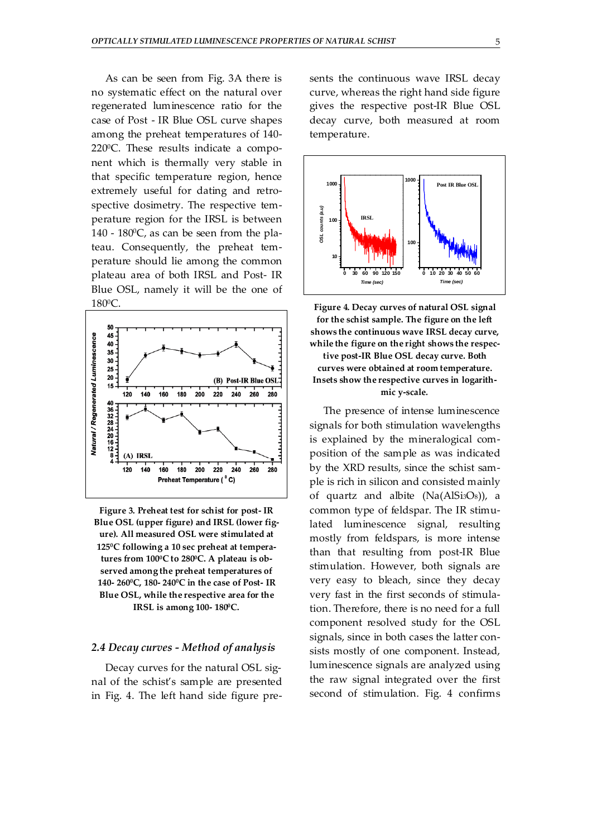As can be seen from Fig. 3A there is no systematic effect on the natural over regenerated luminescence ratio for the case of Post - IR Blue OSL curve shapes among the preheat temperatures of 140- 2200C. These results indicate a component which is thermally very stable in that specific temperature region, hence extremely useful for dating and retrospective dosimetry. The respective temperature region for the IRSL is between  $140 - 180$ <sup>o</sup>C, as can be seen from the plateau. Consequently, the preheat temperature should lie among the common plateau area of both IRSL and Post- IR Blue OSL, namely it will be the one of 1800C.



**Figure 3. Preheat test for schist for post- IR Blue OSL (upper figure) and IRSL (lower figure). All measured OSL were stimulated at 1250C following a 10 sec preheat at tempera**tures from  $100^{\circ}$ C to 280<sup>°</sup>C. A plateau is ob**served among the preheat temperatures of 140- 2600C, 180- 2400C in the case of Post- IR Blue OSL, while the respective area for the IRSL is among 100-180°C.** 

# *2.4 Decay curves - Method of analysis*

Decay curves for the natural OSL signal of the schist's sample are presented in Fig. 4. The left hand side figure presents the continuous wave IRSL decay curve, whereas the right hand side figure gives the respective post-IR Blue OSL decay curve, both measured at room temperature.



**Figure 4. Decay curves of natural OSL signal for the schist sample. The figure on the left shows the continuous wave IRSL decay curve, while the figure on the right shows the respective post-IR Blue OSL decay curve. Both curves were obtained at room temperature. Insets show the respective curves in logarithmic y-scale***.*

The presence of intense luminescence signals for both stimulation wavelengths is explained by the mineralogical composition of the sample as was indicated by the XRD results, since the schist sample is rich in silicon and consisted mainly of quartz and albite  $(Na(AlSi3O8))$ , a common type of feldspar. The IR stimulated luminescence signal, resulting mostly from feldspars, is more intense than that resulting from post-IR Blue stimulation. However, both signals are very easy to bleach, since they decay very fast in the first seconds of stimulation. Therefore, there is no need for a full component resolved study for the OSL signals, since in both cases the latter consists mostly of one component. Instead, luminescence signals are analyzed using the raw signal integrated over the first second of stimulation. Fig. 4 confirms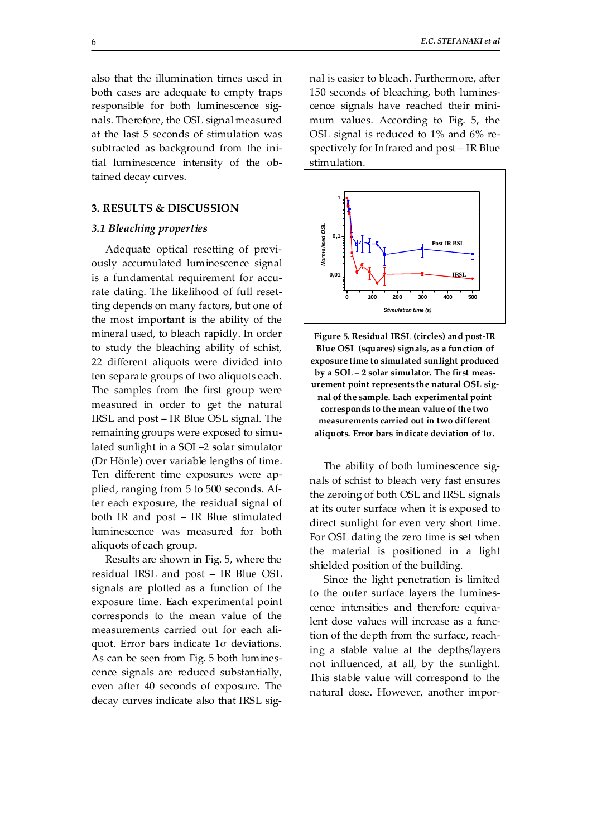also that the illumination times used in both cases are adequate to empty traps responsible for both luminescence signals. Therefore, the OSL signal measured at the last 5 seconds of stimulation was subtracted as background from the initial luminescence intensity of the obtained decay curves.

#### **3. RESULTS & DISCUSSION**

#### *3.1 Bleaching properties*

Adequate optical resetting of previously accumulated luminescence signal is a fundamental requirement for accurate dating. The likelihood of full resetting depends on many factors, but one of the most important is the ability of the mineral used, to bleach rapidly. In order to study the bleaching ability of schist, 22 different aliquots were divided into ten separate groups of two aliquots each. The samples from the first group were measured in order to get the natural IRSL and post – IR Blue OSL signal. The remaining groups were exposed to simulated sunlight in a SOL–2 solar simulator (Dr Hönle) over variable lengths of time. Ten different time exposures were applied, ranging from 5 to 500 seconds. After each exposure, the residual signal of both IR and post – IR Blue stimulated luminescence was measured for both aliquots of each group.

Results are shown in Fig. 5, where the residual IRSL and post – IR Blue OSL signals are plotted as a function of the exposure time. Each experimental point corresponds to the mean value of the measurements carried out for each aliquot. Error bars indicate 1σ deviations. As can be seen from Fig. 5 both luminescence signals are reduced substantially, even after 40 seconds of exposure. The decay curves indicate also that IRSL signal is easier to bleach. Furthermore, after 150 seconds of bleaching, both luminescence signals have reached their minimum values. According to Fig. 5, the OSL signal is reduced to 1% and 6% respectively for Infrared and post – IR Blue stimulation.



**Figure 5. Residual IRSL (circles) and post-IR Blue OSL (squares) signals, as a function of exposure time to simulated sunlight produced by a SOL – 2 solar simulator. The first measurement point represents the natural OSL signal of the sample. Each experimental point corresponds to the mean value of the two measurements carried out in two different aliquots. Error bars indicate deviation of 1σ.** 

The ability of both luminescence signals of schist to bleach very fast ensures the zeroing of both OSL and IRSL signals at its outer surface when it is exposed to direct sunlight for even very short time. For OSL dating the zero time is set when the material is positioned in a light shielded position of the building.

Since the light penetration is limited to the outer surface layers the luminescence intensities and therefore equivalent dose values will increase as a function of the depth from the surface, reaching a stable value at the depths/layers not influenced, at all, by the sunlight. This stable value will correspond to the natural dose. However, another impor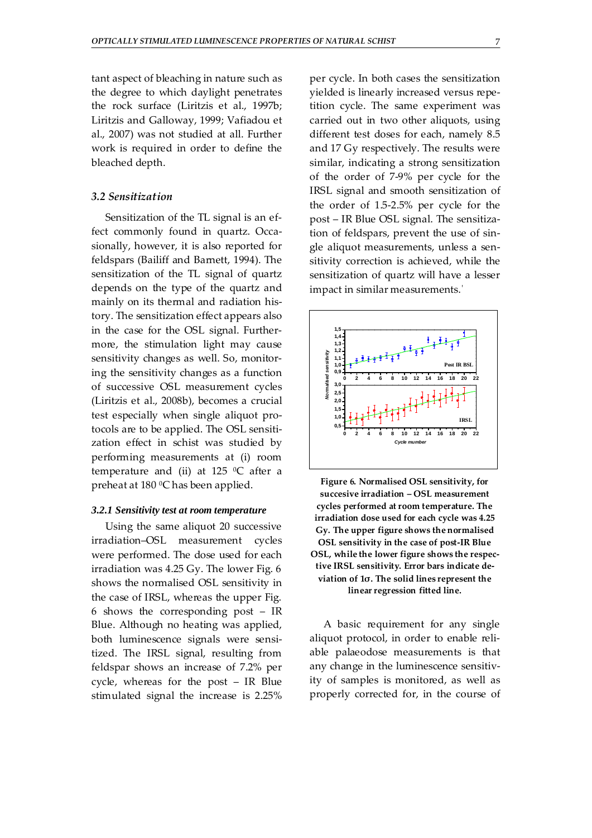tant aspect of bleaching in nature such as the degree to which daylight penetrates the rock surface (Liritzis et al., 1997b; Liritzis and Galloway, 1999; Vafiadou et al., 2007) was not studied at all. Further work is required in order to define the bleached depth.

#### *3.2 Sensitization*

Sensitization of the TL signal is an effect commonly found in quartz. Occasionally, however, it is also reported for feldspars (Bailiff and Barnett, 1994). The sensitization of the TL signal of quartz depends on the type of the quartz and mainly on its thermal and radiation history. The sensitization effect appears also in the case for the OSL signal. Furthermore, the stimulation light may cause sensitivity changes as well. So, monitoring the sensitivity changes as a function of successive OSL measurement cycles (Liritzis et al., 2008b), becomes a crucial test especially when single aliquot protocols are to be applied. The OSL sensitization effect in schist was studied by performing measurements at (i) room temperature and (ii) at 125  $^{\circ}$ C after a preheat at  $180\,^0$ C has been applied.

#### *3.2.1 Sensitivity test at room temperature*

Using the same aliquot 20 successive irradiation–OSL measurement cycles were performed. The dose used for each irradiation was 4.25 Gy. The lower Fig. 6 shows the normalised OSL sensitivity in the case of IRSL, whereas the upper Fig. 6 shows the corresponding post – IR Blue. Although no heating was applied, both luminescence signals were sensitized. The IRSL signal, resulting from feldspar shows an increase of 7.2% per cycle, whereas for the post – IR Blue stimulated signal the increase is 2.25% per cycle. In both cases the sensitization yielded is linearly increased versus repetition cycle. The same experiment was carried out in two other aliquots, using different test doses for each, namely 8.5 and 17 Gy respectively. The results were similar, indicating a strong sensitization of the order of 7-9% per cycle for the IRSL signal and smooth sensitization of the order of 1.5-2.5% per cycle for the post – IR Blue OSL signal. The sensitization of feldspars, prevent the use of single aliquot measurements, unless a sensitivity correction is achieved, while the sensitization of quartz will have a lesser impact in similar measurements.΄



**Figure 6. Normalised OSL sensitivity, for succesive irradiation – OSL measurement cycles performed at room temperature. The irradiation dose used for each cycle was 4.25 Gy. The upper figure shows the normalised OSL sensitivity in the case of post-IR Blue OSL, while the lower figure shows the respective IRSL sensitivity. Error bars indicate deviation of 1σ. The solid lines represent the linear regression fitted line.**

A basic requirement for any single aliquot protocol, in order to enable reliable palaeodose measurements is that any change in the luminescence sensitivity of samples is monitored, as well as properly corrected for, in the course of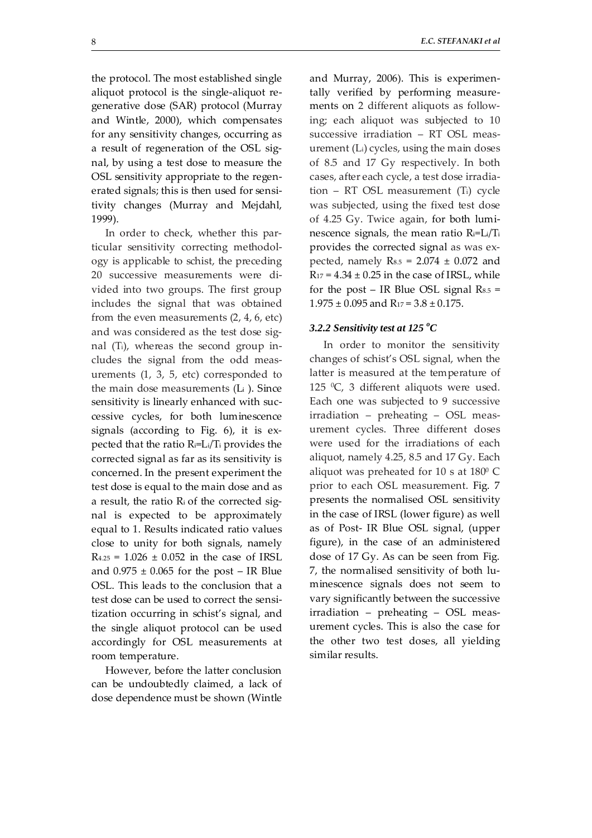the protocol. The most established single aliquot protocol is the single-aliquot regenerative dose (SAR) protocol (Murray and Wintle, 2000), which compensates for any sensitivity changes, occurring as a result of regeneration of the OSL signal, by using a test dose to measure the OSL sensitivity appropriate to the regenerated signals; this is then used for sensitivity changes (Murray and Mejdahl, 1999).

In order to check, whether this particular sensitivity correcting methodology is applicable to schist, the preceding 20 successive measurements were divided into two groups. The first group includes the signal that was obtained from the even measurements (2, 4, 6, etc) and was considered as the test dose signal (Ti), whereas the second group includes the signal from the odd measurements (1, 3, 5, etc) corresponded to the main dose measurements (Li ). Since sensitivity is linearly enhanced with successive cycles, for both luminescence signals (according to Fig. 6), it is expected that the ratio Ri=Li/Ti provides the corrected signal as far as its sensitivity is concerned. In the present experiment the test dose is equal to the main dose and as a result, the ratio Ri of the corrected signal is expected to be approximately equal to 1. Results indicated ratio values close to unity for both signals, namely  $R_{4.25} = 1.026 \pm 0.052$  in the case of IRSL and  $0.975 \pm 0.065$  for the post – IR Blue OSL. This leads to the conclusion that a test dose can be used to correct the sensitization occurring in schist's signal, and the single aliquot protocol can be used accordingly for OSL measurements at room temperature.

However, before the latter conclusion can be undoubtedly claimed, a lack of dose dependence must be shown (Wintle and Murray, 2006). This is experimentally verified by performing measurements on 2 different aliquots as following; each aliquot was subjected to 10 successive irradiation – RT OSL measurement (Li) cycles, using the main doses of 8.5 and 17 Gy respectively. In both cases, after each cycle, a test dose irradiation – RT OSL measurement (Ti) cycle was subjected, using the fixed test dose of 4.25 Gy. Twice again, for both luminescence signals, the mean ratio Ri=Li/Ti provides the corrected signal as was expected, namely  $R_{8.5} = 2.074 \pm 0.072$  and  $R_{17} = 4.34 \pm 0.25$  in the case of IRSL, while for the post – IR Blue OSL signal  $Rs_{.5}$  =  $1.975 \pm 0.095$  and R<sub>17</sub> = 3.8  $\pm$  0.175.

# 3.2.2 Sensitivity test at 125 °C

In order to monitor the sensitivity changes of schist's OSL signal, when the latter is measured at the temperature of 125  $\degree$ C, 3 different aliquots were used. Each one was subjected to 9 successive irradiation – preheating – OSL measurement cycles. Three different doses were used for the irradiations of each aliquot, namely 4.25, 8.5 and 17 Gy. Each aliquot was preheated for 10 s at  $180^{\circ}$  C prior to each OSL measurement. Fig. 7 presents the normalised OSL sensitivity in the case of IRSL (lower figure) as well as of Post- IR Blue OSL signal, (upper figure), in the case of an administered dose of 17 Gy. As can be seen from Fig. 7, the normalised sensitivity of both luminescence signals does not seem to vary significantly between the successive irradiation – preheating – OSL measurement cycles. This is also the case for the other two test doses, all yielding similar results.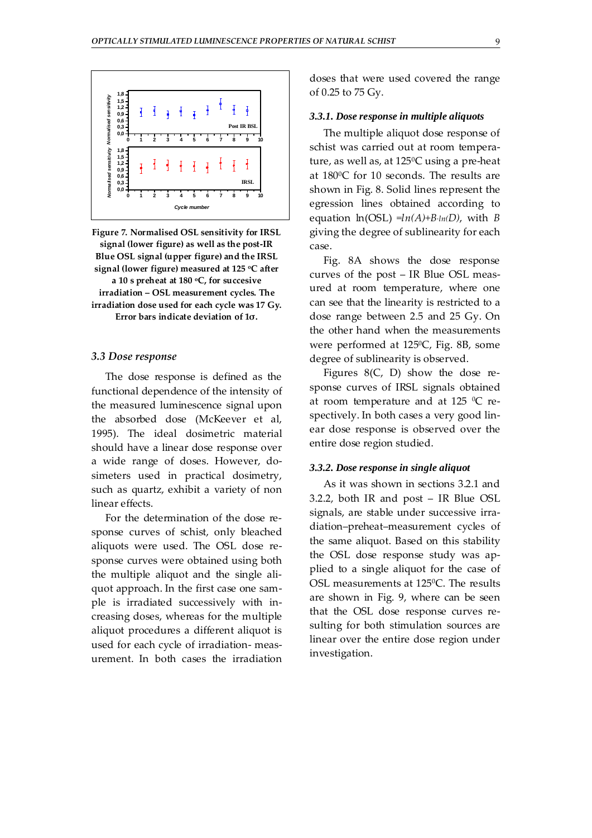

**Figure 7. Normalised OSL sensitivity for IRSL signal (lower figure) as well as the post-IR Blue OSL signal (upper figure) and the IRSL signal (lower figure) measured at 125 oC after a 10 s preheat at 180 oC, for succesive irradiation – OSL measurement cycles. The irradiation dose used for each cycle was 17 Gy. Error bars indicate deviation of 1σ.** 

#### *3.3 Dose response*

The dose response is defined as the functional dependence of the intensity of the measured luminescence signal upon the absorbed dose (McKeever et al, 1995). The ideal dosimetric material should have a linear dose response over a wide range of doses. However, dosimeters used in practical dosimetry, such as quartz, exhibit a variety of non linear effects.

For the determination of the dose response curves of schist, only bleached aliquots were used. The OSL dose response curves were obtained using both the multiple aliquot and the single aliquot approach. In the first case one sample is irradiated successively with increasing doses, whereas for the multiple aliquot procedures a different aliquot is used for each cycle of irradiation- measurement. In both cases the irradiation doses that were used covered the range of 0.25 to 75 Gy.

#### *3.3.1. Dose response in multiple aliquots*

The multiple aliquot dose response of schist was carried out at room temperature, as well as, at 125<sup>°</sup>C using a pre-heat at 1800C for 10 seconds. The results are shown in Fig. 8. Solid lines represent the egression lines obtained according to equation  $ln(OSL) = ln(A) + B \cdot ln(D)$ , with *B* giving the degree of sublinearity for each case.

Fig. 8A shows the dose response curves of the post – IR Blue OSL measured at room temperature, where one can see that the linearity is restricted to a dose range between 2.5 and 25 Gy. On the other hand when the measurements were performed at 1250C, Fig. 8B, some degree of sublinearity is observed.

Figures 8(C, D) show the dose response curves of IRSL signals obtained at room temperature and at 125  $^{\circ}$ C respectively. In both cases a very good linear dose response is observed over the entire dose region studied.

#### *3.3.2. Dose response in single aliquot*

As it was shown in sections 3.2.1 and 3.2.2, both IR and post – IR Blue OSL signals, are stable under successive irradiation–preheat–measurement cycles of the same aliquot. Based on this stability the OSL dose response study was applied to a single aliquot for the case of OSL measurements at 125<sup>0</sup>C. The results are shown in Fig. 9, where can be seen that the OSL dose response curves resulting for both stimulation sources are linear over the entire dose region under investigation.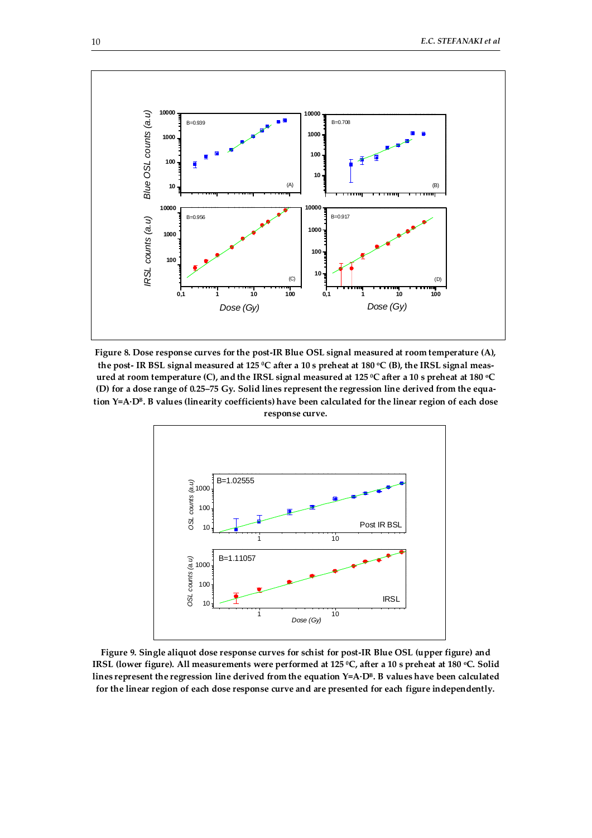

**Figure 8. Dose response curves for the post-IR Blue OSL signal measured at room temperature (A),**  the post- IR BSL signal measured at 125 °C after a 10 s preheat at 180 °C (B), the IRSL signal meas**ured at room temperature (C), and the IRSL signal measured at 125 0C after a 10 s preheat at 180 oC (D) for a dose range of 0.25–75 Gy. Solid lines represent the regression line derived from the equation Y=A·DB. B values (linearity coefficients) have been calculated for the linear region of each dose response curve.** 



**Figure 9. Single aliquot dose response curves for schist for post-IR Blue OSL (upper figure) and IRSL (lower figure). All measurements were performed at 125 °C, after a 10 s preheat at 180 °C. Solid** lines represent the regression line derived from the equation Y=A·D<sup>B</sup>. B values have been calculated **for the linear region of each dose response curve and are presented for each figure independently.**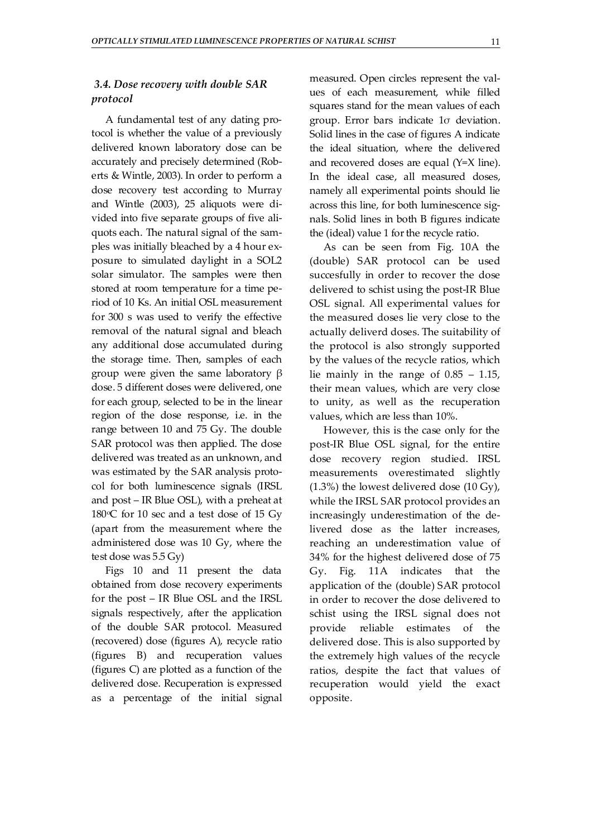# *3.4. Dose recovery with double SAR protocol*

A fundamental test of any dating protocol is whether the value of a previously delivered known laboratory dose can be accurately and precisely determined (Roberts & Wintle, 2003). In order to perform a dose recovery test according to Murray and Wintle (2003), 25 aliquots were divided into five separate groups of five aliquots each. The natural signal of the samples was initially bleached by a 4 hour exposure to simulated daylight in a SOL2 solar simulator. The samples were then stored at room temperature for a time period of 10 Ks. An initial OSL measurement for 300 s was used to verify the effective removal of the natural signal and bleach any additional dose accumulated during the storage time. Then, samples of each group were given the same laboratory β dose. 5 different doses were delivered, one for each group, selected to be in the linear region of the dose response, i.e. in the range between 10 and 75 Gy. The double SAR protocol was then applied. The dose delivered was treated as an unknown, and was estimated by the SAR analysis protocol for both luminescence signals (IRSL and post – IR Blue OSL), with a preheat at 180 $\degree$ C for 10 sec and a test dose of 15 Gy (apart from the measurement where the administered dose was 10 Gy, where the test dose was 5.5 Gy)

Figs 10 and 11 present the data obtained from dose recovery experiments for the post – IR Blue OSL and the IRSL signals respectively, after the application of the double SAR protocol. Measured (recovered) dose (figures A), recycle ratio (figures B) and recuperation values (figures C) are plotted as a function of the delivered dose. Recuperation is expressed as a percentage of the initial signal measured. Open circles represent the values of each measurement, while filled squares stand for the mean values of each group. Error bars indicate 1σ deviation. Solid lines in the case of figures A indicate the ideal situation, where the delivered and recovered doses are equal (Y=X line). In the ideal case, all measured doses, namely all experimental points should lie across this line, for both luminescence signals. Solid lines in both B figures indicate the (ideal) value 1 for the recycle ratio.

As can be seen from Fig. 10A the (double) SAR protocol can be used succesfully in order to recover the dose delivered to schist using the post-IR Blue OSL signal. All experimental values for the measured doses lie very close to the actually deliverd doses. The suitability of the protocol is also strongly supported by the values of the recycle ratios, which lie mainly in the range of  $0.85 - 1.15$ , their mean values, which are very close to unity, as well as the recuperation values, which are less than 10%.

However, this is the case only for the post-IR Blue OSL signal, for the entire dose recovery region studied. IRSL measurements overestimated slightly (1.3%) the lowest delivered dose (10 Gy), while the IRSL SAR protocol provides an increasingly underestimation of the delivered dose as the latter increases, reaching an underestimation value of 34% for the highest delivered dose of 75 Gy. Fig. 11A indicates that the application of the (double) SAR protocol in order to recover the dose delivered to schist using the IRSL signal does not provide reliable estimates of the delivered dose. This is also supported by the extremely high values of the recycle ratios, despite the fact that values of recuperation would yield the exact opposite.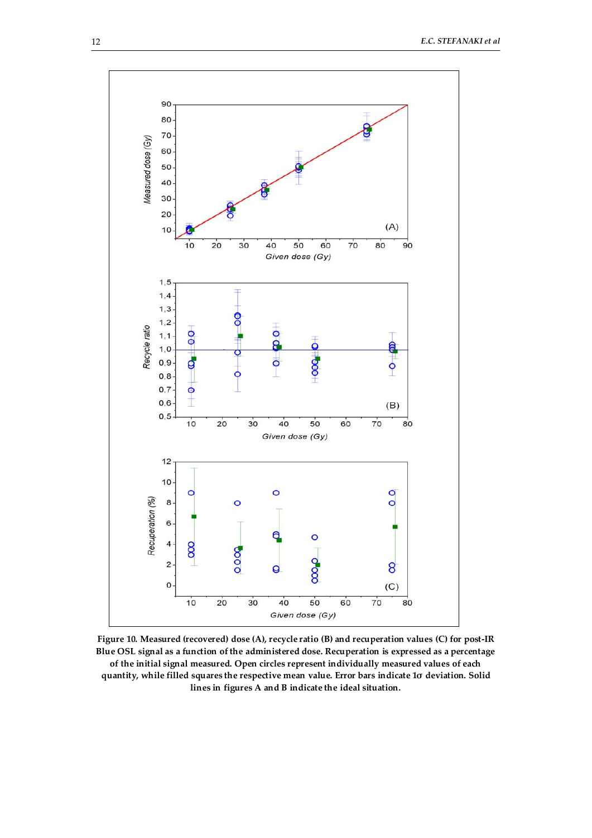

**Figure 10. Measured (recovered) dose (A), recycle ratio (B) and recuperation values (C) for post-IR Blue OSL signal as a function of the administered dose. Recuperation is expressed as a percentage of the initial signal measured. Open circles represent individually measured values of each quantity, while filled squares the respective mean value. Error bars indicate 1σ deviation. Solid lines in figures A and B indicate the ideal situation.**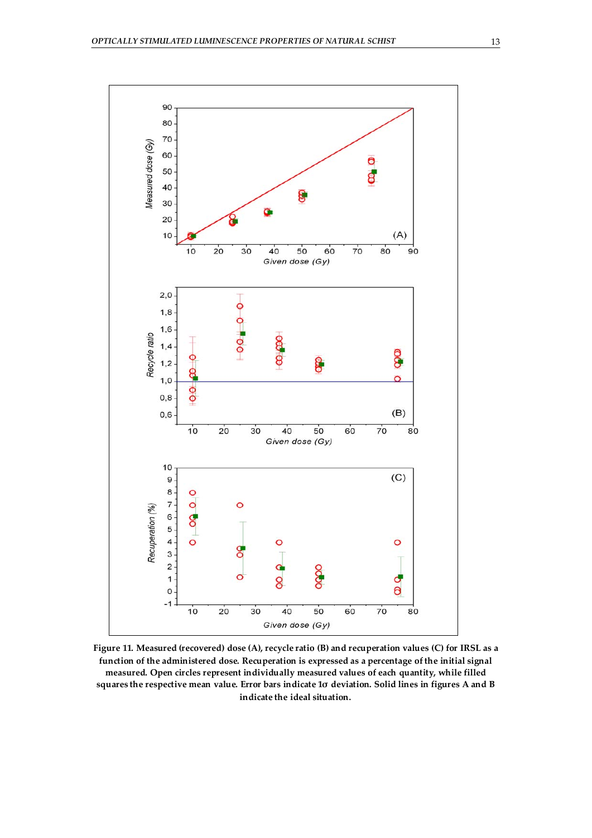

**Figure 11. Measured (recovered) dose (A), recycle ratio (B) and recuperation values (C) for IRSL as a function of the administered dose. Recuperation is expressed as a percentage of the initial signal measured. Open circles represent individually measured values of each quantity, while filled squares the respective mean value. Error bars indicate 1σ deviation. Solid lines in figures A and B indicate the ideal situation.**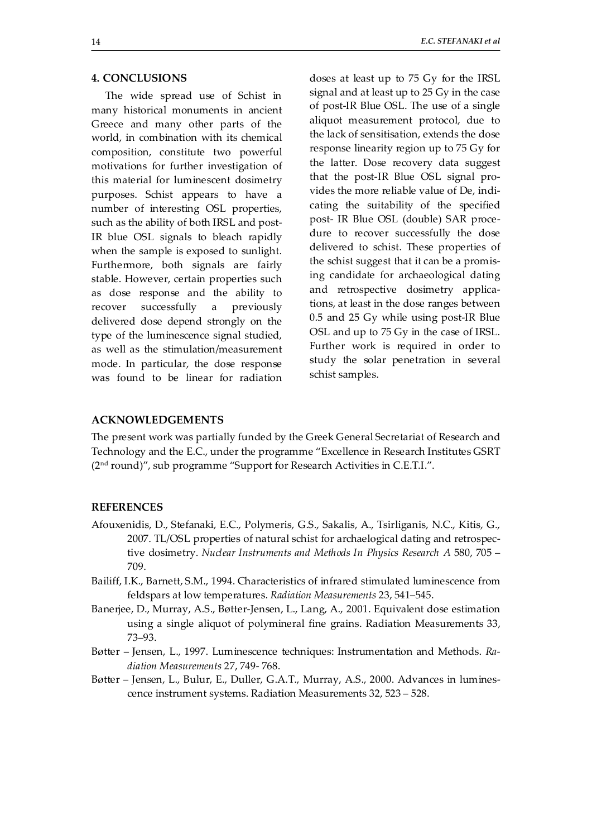## **4. CONCLUSIONS**

The wide spread use of Schist in many historical monuments in ancient Greece and many other parts of the world, in combination with its chemical composition, constitute two powerful motivations for further investigation of this material for luminescent dosimetry purposes. Schist appears to have a number of interesting OSL properties, such as the ability of both IRSL and post-IR blue OSL signals to bleach rapidly when the sample is exposed to sunlight. Furthermore, both signals are fairly stable. However, certain properties such as dose response and the ability to recover successfully a previously delivered dose depend strongly on the type of the luminescence signal studied, as well as the stimulation/measurement mode. In particular, the dose response was found to be linear for radiation doses at least up to 75 Gy for the IRSL signal and at least up to 25 Gy in the case of post-IR Blue OSL. The use of a single aliquot measurement protocol, due to the lack of sensitisation, extends the dose response linearity region up to 75 Gy for the latter. Dose recovery data suggest that the post-IR Blue OSL signal provides the more reliable value of De, indicating the suitability of the specified post- IR Blue OSL (double) SAR procedure to recover successfully the dose delivered to schist. These properties of the schist suggest that it can be a promising candidate for archaeological dating and retrospective dosimetry applications, at least in the dose ranges between 0.5 and 25 Gy while using post-IR Blue OSL and up to 75 Gy in the case of IRSL. Further work is required in order to study the solar penetration in several schist samples.

#### **ACKNOWLEDGEMENTS**

The present work was partially funded by the Greek General Secretariat of Research and Technology and the E.C., under the programme "Excellence in Research Institutes GSRT (2nd round)", sub programme "Support for Research Activities in C.E.T.I.".

## **REFERENCES**

- Afouxenidis, D., Stefanaki, E.C., Polymeris, G.S., Sakalis, A., Tsirliganis, N.C., Kitis, G., 2007. TL/OSL properties of natural schist for archaelogical dating and retrospective dosimetry. *Nuclear Instruments and Methods In Physics Research A* 580, 705 – 709.
- Bailiff, I.K., Barnett, S.M., 1994. Characteristics of infrared stimulated luminescence from feldspars at low temperatures. *Radiation Measurements* 23, 541–545.
- Banerjee, D., Murray, A.S., Bøtter-Jensen, L., Lang, A., 2001. Equivalent dose estimation using a single aliquot of polymineral fine grains. Radiation Measurements 33, 73–93.
- Bøtter Jensen, L., 1997. Luminescence techniques: Instrumentation and Methods. *Radiation Measurements* 27, 749- 768.
- Bøtter Jensen, L., Bulur, E., Duller, G.A.T., Murray, A.S., 2000. Advances in luminescence instrument systems. Radiation Measurements 32, 523 – 528.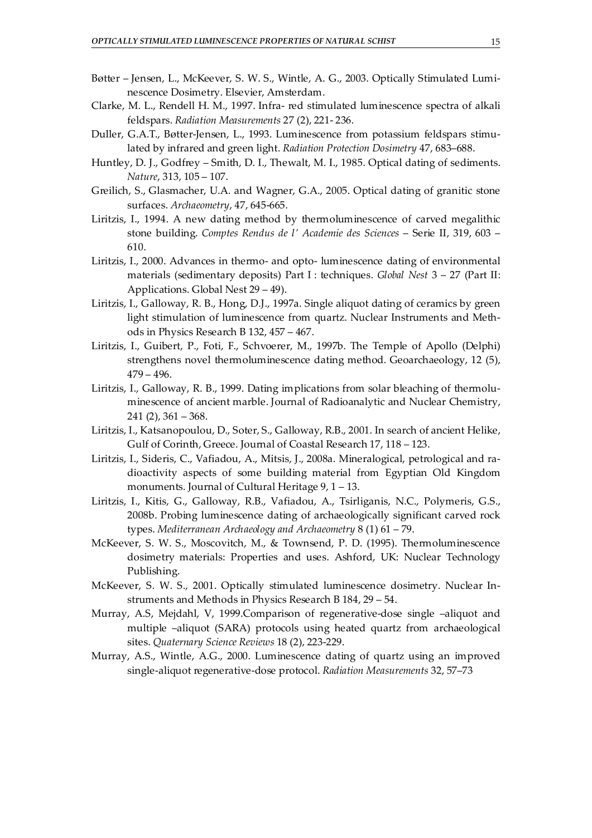- Bøtter Jensen, L., McKeever, S. W. S., Wintle, A. G., 2003. Optically Stimulated Luminescence Dosimetry. Elsevier, Amsterdam.
- Clarke, M. L., Rendell H. M., 1997. Infra- red stimulated luminescence spectra of alkali feldspars. *Radiation Measurements* 27 (2), 221- 236.
- Duller, G.A.T., Bøtter-Jensen, L., 1993. Luminescence from potassium feldspars stimulated by infrared and green light. *Radiation Protection Dosimetry* 47, 683–688.
- Huntley, D. J., Godfrey Smith, D. I., Thewalt, M. I., 1985. Optical dating of sediments. *Nature*, 313, 105 – 107.
- Greilich, S., Glasmacher, U.A. and Wagner, G.A., 2005. Optical dating of granitic stone surfaces. *Archaeometry*, 47, 645-665.
- Liritzis, I., 1994. A new dating method by thermoluminescence of carved megalithic stone building. *Comptes Rendus de l' Academie des Sciences* – Serie II, 319, 603 – 610.
- Liritzis, I., 2000. Advances in thermo- and opto- luminescence dating of environmental materials (sedimentary deposits) Part I : techniques. *Global Nest* 3 – 27 (Part II: Applications. Global Nest 29 – 49).
- Liritzis, I., Galloway, R. B., Hong, D.J., 1997a. Single aliquot dating of ceramics by green light stimulation of luminescence from quartz. Nuclear Instruments and Methods in Physics Research B 132, 457 – 467.
- Liritzis, I., Guibert, P., Foti, F., Schvoerer, M., 1997b. The Temple of Apollo (Delphi) strengthens novel thermoluminescence dating method. Geoarchaeology, 12 (5), 479 – 496.
- Liritzis, I., Galloway, R. B., 1999. Dating implications from solar bleaching of thermoluminescence of ancient marble. Journal of Radioanalytic and Nuclear Chemistry,  $241 (2)$ ,  $361 - 368$ .
- Liritzis, I., Katsanopoulou, D., Soter, S., Galloway, R.B., 2001. In search of ancient Helike, Gulf of Corinth, Greece. Journal of Coastal Research 17, 118 – 123.
- Liritzis, I., Sideris, C., Vafiadou, A., Mitsis, J., 2008a. Mineralogical, petrological and radioactivity aspects of some building material from Egyptian Old Kingdom monuments. Journal of Cultural Heritage 9, 1 – 13.
- Liritzis, I., Kitis, G., Galloway, R.B., Vafiadou, A., Tsirliganis, N.C., Polymeris, G.S., 2008b. Probing luminescence dating of archaeologically significant carved rock types. *Mediterranean Archaeology and Archaeometry* 8 (1) 61 – 79.
- McKeever, S. W. S., Moscovitch, M., & Townsend, P. D. (1995). Thermoluminescence dosimetry materials: Properties and uses. Ashford, UK: Nuclear Technology Publishing.
- McKeever, S. W. S., 2001. Optically stimulated luminescence dosimetry. Nuclear Instruments and Methods in Physics Research B 184, 29 – 54.
- Murray, A.S, Mejdahl, V, 1999.Comparison of regenerative-dose single –aliquot and multiple –aliquot (SARA) protocols using heated quartz from archaeological sites. *Quaternary Science Reviews* 18 (2), 223-229.
- Murray, A.S., Wintle, A.G., 2000. Luminescence dating of quartz using an improved single-aliquot regenerative-dose protocol. *Radiation Measurements* 32, 57–73